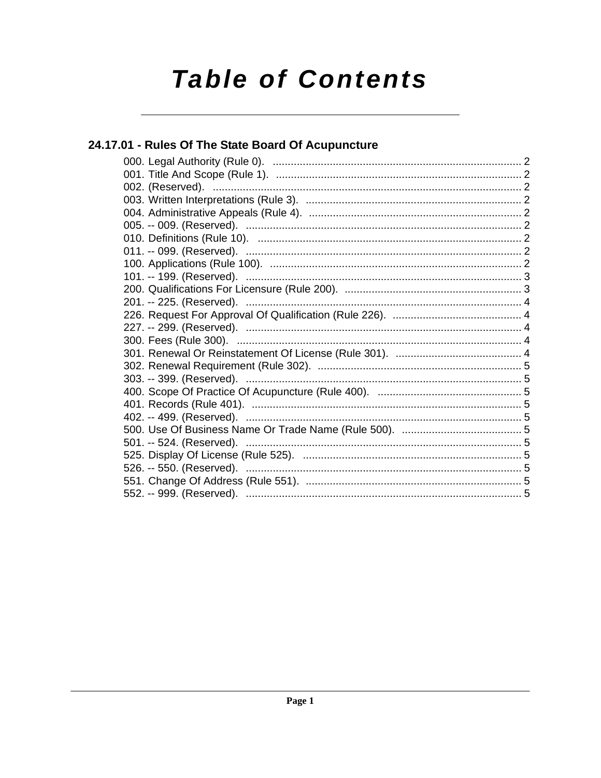# **Table of Contents**

## 24.17.01 - Rules Of The State Board Of Acupuncture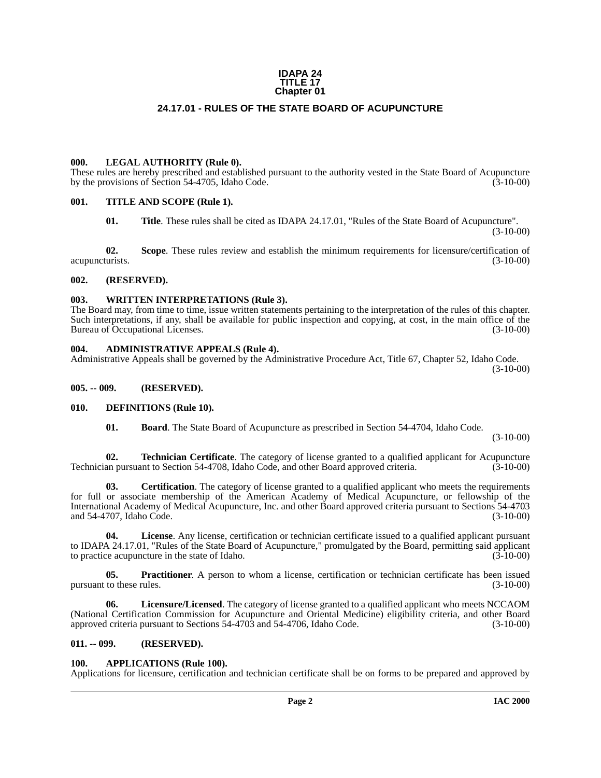#### **IDAPA 24 TITLE 17 Chapter 01**

## **24.17.01 - RULES OF THE STATE BOARD OF ACUPUNCTURE**

#### <span id="page-1-1"></span><span id="page-1-0"></span>**000. LEGAL AUTHORITY (Rule 0).**

These rules are hereby prescribed and established pursuant to the authority vested in the State Board of Acupuncture by the provisions of Section 54-4705, Idaho Code. (3-10-00)

#### <span id="page-1-2"></span>**001. TITLE AND SCOPE (Rule 1).**

**01. Title**. These rules shall be cited as IDAPA 24.17.01, "Rules of the State Board of Acupuncture".

(3-10-00)

**02.** Scope. These rules review and establish the minimum requirements for licensure/certification of turists. (3-10-00) acupuncturists.

#### <span id="page-1-3"></span>**002. (RESERVED).**

#### <span id="page-1-4"></span>**003. WRITTEN INTERPRETATIONS (Rule 3).**

The Board may, from time to time, issue written statements pertaining to the interpretation of the rules of this chapter. Such interpretations, if any, shall be available for public inspection and copying, at cost, in the main office of the Bureau of Occupational Licenses. (3-10-00)

#### <span id="page-1-5"></span>**004. ADMINISTRATIVE APPEALS (Rule 4).**

Administrative Appeals shall be governed by the Administrative Procedure Act, Title 67, Chapter 52, Idaho Code. (3-10-00)

<span id="page-1-6"></span>**005. -- 009. (RESERVED).**

#### <span id="page-1-7"></span>**010. DEFINITIONS (Rule 10).**

<span id="page-1-15"></span><span id="page-1-12"></span><span id="page-1-11"></span>**01. Board**. The State Board of Acupuncture as prescribed in Section 54-4704, Idaho Code.

(3-10-00)

**02. Technician Certificate**. The category of license granted to a qualified applicant for Acupuncture an pursuant to Section 54-4708. Idaho Code, and other Board approved criteria. (3-10-00) Technician pursuant to Section 54-4708, Idaho Code, and other Board approved criteria.

**03. Certification**. The category of license granted to a qualified applicant who meets the requirements for full or associate membership of the American Academy of Medical Acupuncture, or fellowship of the International Academy of Medical Acupuncture, Inc. and other Board approved criteria pursuant to Sections 54-4703 and 54-4707, Idaho Code.

**04. License**. Any license, certification or technician certificate issued to a qualified applicant pursuant to IDAPA 24.17.01, "Rules of the State Board of Acupuncture," promulgated by the Board, permitting said applicant<br>to practice acupuncture in the state of Idaho. to practice acupuncture in the state of Idaho.

<span id="page-1-14"></span>**05. Practitioner**. A person to whom a license, certification or technician certificate has been issued to these rules. (3-10-00) pursuant to these rules.

<span id="page-1-13"></span>**06. Licensure/Licensed**. The category of license granted to a qualified applicant who meets NCCAOM (National Certification Commission for Acupuncture and Oriental Medicine) eligibility criteria, and other Board approved criteria pursuant to Sections 54-4703 and 54-4706, Idaho Code. (3-10-00)

#### <span id="page-1-8"></span>**011. -- 099. (RESERVED).**

#### <span id="page-1-10"></span><span id="page-1-9"></span>**100. APPLICATIONS (Rule 100).**

Applications for licensure, certification and technician certificate shall be on forms to be prepared and approved by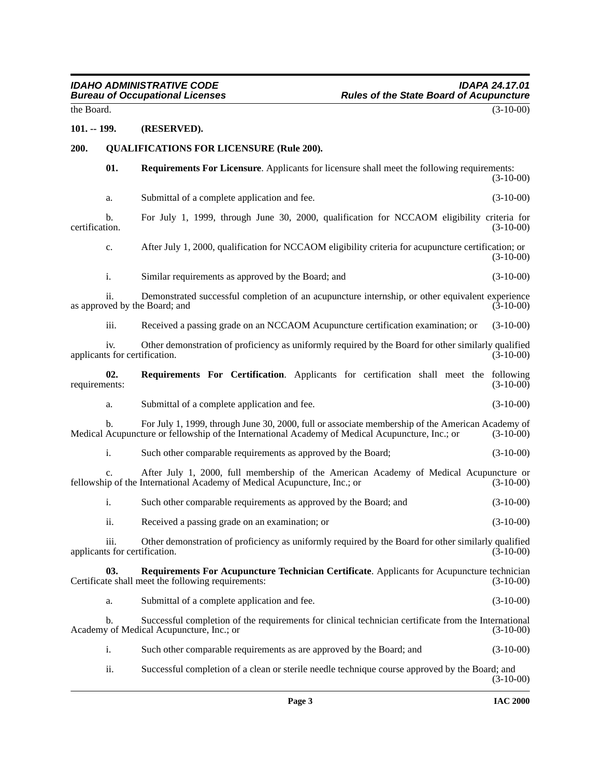the Board.  $(3-10-00)$ 

#### <span id="page-2-0"></span>**101. -- 199. (RESERVED).**

#### <span id="page-2-1"></span>**200. QUALIFICATIONS FOR LICENSURE (Rule 200).**

<span id="page-2-5"></span><span id="page-2-2"></span>**01. Requirements For Licensure**. Applicants for licensure shall meet the following requirements: (3-10-00)

a. Submittal of a complete application and fee. (3-10-00)

b. For July 1, 1999, through June 30, 2000, qualification for NCCAOM eligibility criteria for certification. (3-10-00) certification. (3-10-00)

c. After July 1, 2000, qualification for NCCAOM eligibility criteria for acupuncture certification; or (3-10-00)

i. Similar requirements as approved by the Board; and (3-10-00)

ii. Demonstrated successful completion of an acupuncture internship, or other equivalent experience as approved by the Board; and (3-10-00)

iii. Received a passing grade on an NCCAOM Acupuncture certification examination; or (3-10-00)

iv. Other demonstration of proficiency as uniformly required by the Board for other similarly qualified<br>(3-10-00) (3-10-00) applicants for certification.

**02. Requirements For Certification**. Applicants for certification shall meet the following ents: (3-10-00) requirements:

<span id="page-2-4"></span>a. Submittal of a complete application and fee. (3-10-00)

b. For July 1, 1999, through June 30, 2000, full or associate membership of the American Academy of Acupuncture or fellowship of the International Academy of Medical Acupuncture, Inc.; or (3-10-00) Medical Acupuncture or fellowship of the International Academy of Medical Acupuncture, Inc.; or

i. Such other comparable requirements as approved by the Board; (3-10-00)

c. After July 1, 2000, full membership of the American Academy of Medical Acupuncture or fellowship of the International Academy of Medical Acupuncture, Inc.; or (3-10-00)

i. Such other comparable requirements as approved by the Board; and (3-10-00)

<span id="page-2-3"></span>ii. Received a passing grade on an examination; or (3-10-00)

iii. Other demonstration of proficiency as uniformly required by the Board for other similarly qualified<br>(3-10-00) (3-10-00) applicants for certification.

**03.** Requirements For Acupuncture Technician Certificate. Applicants for Acupuncture technician te shall meet the following requirements: (3-10-00) Certificate shall meet the following requirements:

a. Submittal of a complete application and fee. (3-10-00)

b. Successful completion of the requirements for clinical technician certificate from the International Academy of Medical Acupuncture, Inc.; or (3-10-00)

i. Such other comparable requirements as are approved by the Board; and (3-10-00)

ii. Successful completion of a clean or sterile needle technique course approved by the Board; and (3-10-00)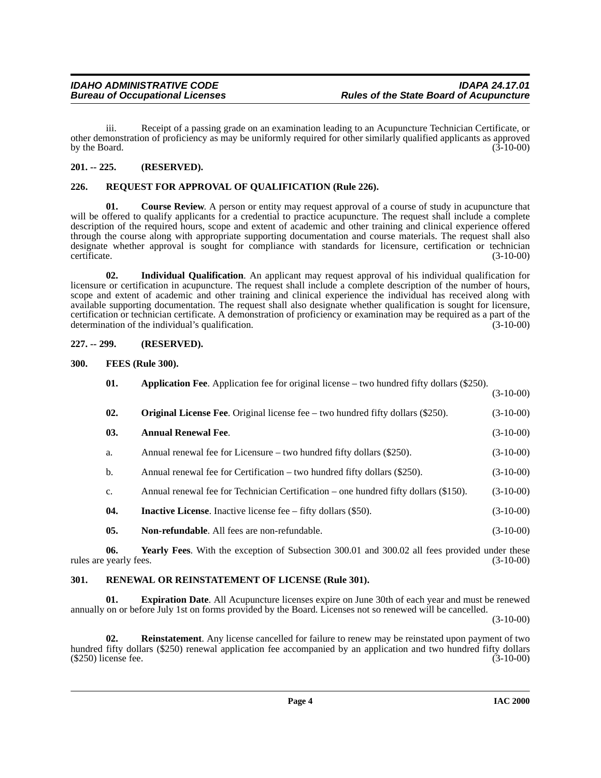iii. Receipt of a passing grade on an examination leading to an Acupuncture Technician Certificate, or other demonstration of proficiency as may be uniformly required for other similarly qualified applicants as approved by the Board.

## <span id="page-3-0"></span>**201. -- 225. (RESERVED).**

## <span id="page-3-14"></span><span id="page-3-1"></span>**226. REQUEST FOR APPROVAL OF QUALIFICATION (Rule 226).**

<span id="page-3-7"></span>**01.** Course Review. A person or entity may request approval of a course of study in acupuncture that will be offered to qualify applicants for a credential to practice acupuncture. The request shall include a complete description of the required hours, scope and extent of academic and other training and clinical experience offered through the course along with appropriate supporting documentation and course materials. The request shall also designate whether approval is sought for compliance with standards for licensure, certification or technician certificate. (3-10-00)

**02. Individual Qualification**. An applicant may request approval of his individual qualification for licensure or certification in acupuncture. The request shall include a complete description of the number of hours, scope and extent of academic and other training and clinical experience the individual has received along with available supporting documentation. The request shall also designate whether qualification is sought for licensure, certification or technician certificate. A demonstration of proficiency or examination may be required as a part of the determination of the individual's qualification.

## <span id="page-3-2"></span>**227. -- 299. (RESERVED).**

## <span id="page-3-3"></span>**300. FEES (Rule 300).**

<span id="page-3-11"></span><span id="page-3-8"></span><span id="page-3-6"></span><span id="page-3-5"></span>

| $(3-10-00)$ |
|-------------|
|             |
| $(3-10-00)$ |
| $(3-10-00)$ |
| $(3-10-00)$ |
| $(3-10-00)$ |
| $(3-10-00)$ |
| $(3-10-00)$ |
| $(3-10-00)$ |
|             |

<span id="page-3-10"></span><span id="page-3-9"></span>**06.** Yearly Fees. With the exception of Subsection 300.01 and 300.02 all fees provided under these vearly fees. (3-10-00) rules are yearly fees.

## <span id="page-3-13"></span><span id="page-3-4"></span>**301. RENEWAL OR REINSTATEMENT OF LICENSE (Rule 301).**

**01. Expiration Date**. All Acupuncture licenses expire on June 30th of each year and must be renewed annually on or before July 1st on forms provided by the Board. Licenses not so renewed will be cancelled.

(3-10-00)

<span id="page-3-12"></span>**02. Reinstatement**. Any license cancelled for failure to renew may be reinstated upon payment of two hundred fifty dollars (\$250) renewal application fee accompanied by an application and two hundred fifty dollars (\$250) license fee. (3-10-00)  $(\$250)$  license fee.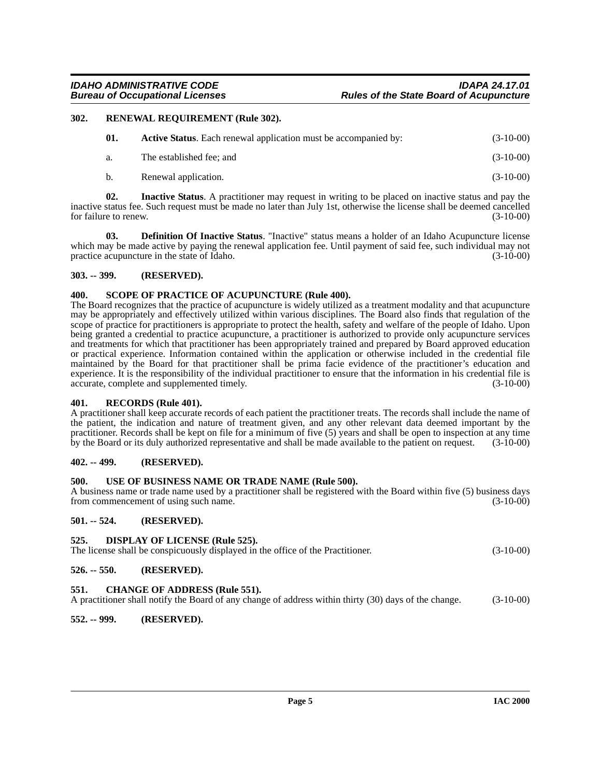#### <span id="page-4-0"></span>**302. RENEWAL REQUIREMENT (Rule 302).**

<span id="page-4-17"></span><span id="page-4-15"></span><span id="page-4-11"></span>

| 01.            | <b>Active Status.</b> Each renewal application must be accompanied by: | $(3-10-00)$ |
|----------------|------------------------------------------------------------------------|-------------|
| а.             | The established fee: and                                               | $(3-10-00)$ |
| $\mathbf{b}$ . | Renewal application.                                                   | $(3-10-00)$ |

**02. Inactive Status**. A practitioner may request in writing to be placed on inactive status and pay the inactive status fee. Such request must be made no later than July 1st, otherwise the license shall be deemed cancelled for failure to renew. (3-10-00)

<span id="page-4-13"></span>**03. Definition Of Inactive Status**. "Inactive" status means a holder of an Idaho Acupuncture license which may be made active by paying the renewal application fee. Until payment of said fee, such individual may not practice acupuncture in the state of Idaho. (3-10-00)

## <span id="page-4-1"></span>**303. -- 399. (RESERVED).**

#### <span id="page-4-18"></span><span id="page-4-2"></span>**400. SCOPE OF PRACTICE OF ACUPUNCTURE (Rule 400).**

The Board recognizes that the practice of acupuncture is widely utilized as a treatment modality and that acupuncture may be appropriately and effectively utilized within various disciplines. The Board also finds that regulation of the scope of practice for practitioners is appropriate to protect the health, safety and welfare of the people of Idaho. Upon being granted a credential to practice acupuncture, a practitioner is authorized to provide only acupuncture services and treatments for which that practitioner has been appropriately trained and prepared by Board approved education or practical experience. Information contained within the application or otherwise included in the credential file maintained by the Board for that practitioner shall be prima facie evidence of the practitioner's education and experience. It is the responsibility of the individual practitioner to ensure that the information in his credential file is accurate, complete and supplemented timely. (3-10-00) accurate, complete and supplemented timely.

#### <span id="page-4-16"></span><span id="page-4-3"></span>**401. RECORDS (Rule 401).**

A practitioner shall keep accurate records of each patient the practitioner treats. The records shall include the name of the patient, the indication and nature of treatment given, and any other relevant data deemed important by the practitioner. Records shall be kept on file for a minimum of five (5) years and shall be open to inspection at any time by the Board or its duly authorized representative and shall be made available to the patient on request. (3-10-00)

## <span id="page-4-4"></span>**402. -- 499. (RESERVED).**

## <span id="page-4-19"></span><span id="page-4-5"></span>**500. USE OF BUSINESS NAME OR TRADE NAME (Rule 500).**

A business name or trade name used by a practitioner shall be registered with the Board within five (5) business days from commencement of using such name. (3-10-00) from commencement of using such name.

## <span id="page-4-6"></span>**501. -- 524. (RESERVED).**

## <span id="page-4-14"></span><span id="page-4-7"></span>**525. DISPLAY OF LICENSE (Rule 525).**

The license shall be conspicuously displayed in the office of the Practitioner. (3-10-00)

## <span id="page-4-8"></span>**526. -- 550. (RESERVED).**

## <span id="page-4-12"></span><span id="page-4-9"></span>**551. CHANGE OF ADDRESS (Rule 551).**

A practitioner shall notify the Board of any change of address within thirty (30) days of the change. (3-10-00)

## <span id="page-4-10"></span>**552. -- 999. (RESERVED).**